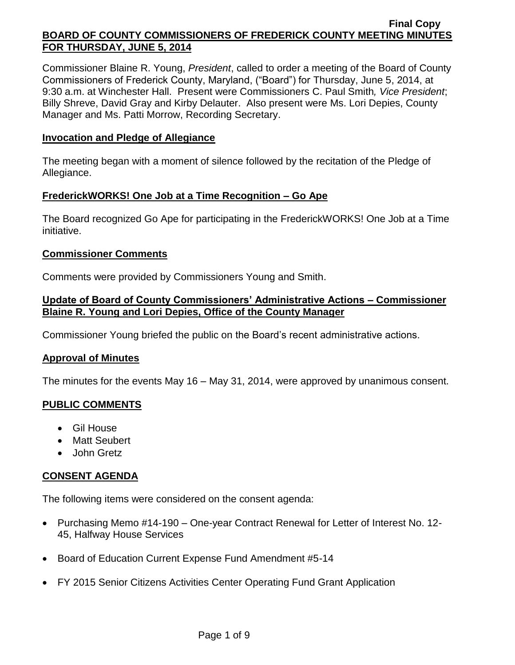Commissioner Blaine R. Young, *President*, called to order a meeting of the Board of County Commissioners of Frederick County, Maryland, ("Board") for Thursday, June 5, 2014, at 9:30 a.m. at Winchester Hall. Present were Commissioners C. Paul Smith*, Vice President*; Billy Shreve, David Gray and Kirby Delauter. Also present were Ms. Lori Depies, County Manager and Ms. Patti Morrow, Recording Secretary.

#### **Invocation and Pledge of Allegiance**

The meeting began with a moment of silence followed by the recitation of the Pledge of Allegiance.

#### **FrederickWORKS! One Job at a Time Recognition – Go Ape**

The Board recognized Go Ape for participating in the FrederickWORKS! One Job at a Time initiative.

#### **Commissioner Comments**

Comments were provided by Commissioners Young and Smith.

# **Update of Board of County Commissioners' Administrative Actions – Commissioner Blaine R. Young and Lori Depies, Office of the County Manager**

Commissioner Young briefed the public on the Board's recent administrative actions.

# **Approval of Minutes**

The minutes for the events May 16 – May 31, 2014, were approved by unanimous consent.

# **PUBLIC COMMENTS**

- Gil House
- Matt Seubert
- John Gretz

# **CONSENT AGENDA**

The following items were considered on the consent agenda:

- Purchasing Memo #14-190 One-year Contract Renewal for Letter of Interest No. 12- 45, Halfway House Services
- Board of Education Current Expense Fund Amendment #5-14
- FY 2015 Senior Citizens Activities Center Operating Fund Grant Application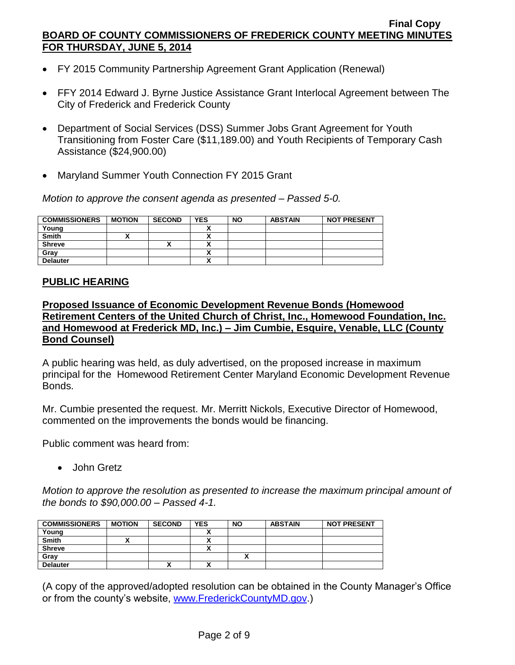- FY 2015 Community Partnership Agreement Grant Application (Renewal)
- FFY 2014 Edward J. Byrne Justice Assistance Grant Interlocal Agreement between The City of Frederick and Frederick County
- Department of Social Services (DSS) Summer Jobs Grant Agreement for Youth Transitioning from Foster Care (\$11,189.00) and Youth Recipients of Temporary Cash Assistance (\$24,900.00)
- Maryland Summer Youth Connection FY 2015 Grant

*Motion to approve the consent agenda as presented – Passed 5-0.*

| <b>COMMISSIONERS</b> | <b>MOTION</b> | <b>SECOND</b> | <b>YES</b> | <b>NO</b> | <b>ABSTAIN</b> | <b>NOT PRESENT</b> |
|----------------------|---------------|---------------|------------|-----------|----------------|--------------------|
| Young                |               |               |            |           |                |                    |
| <b>Smith</b>         |               |               |            |           |                |                    |
| <b>Shreve</b>        |               | ,,            |            |           |                |                    |
| Gray                 |               |               |            |           |                |                    |
| <b>Delauter</b>      |               |               |            |           |                |                    |

# **PUBLIC HEARING**

**Proposed Issuance of Economic Development Revenue Bonds (Homewood Retirement Centers of the United Church of Christ, Inc., Homewood Foundation, Inc. and Homewood at Frederick MD, Inc.) – Jim Cumbie, Esquire, Venable, LLC (County Bond Counsel)**

A public hearing was held, as duly advertised, on the proposed increase in maximum principal for the Homewood Retirement Center Maryland Economic Development Revenue Bonds.

Mr. Cumbie presented the request. Mr. Merritt Nickols, Executive Director of Homewood, commented on the improvements the bonds would be financing.

Public comment was heard from:

• John Gretz

*Motion to approve the resolution as presented to increase the maximum principal amount of the bonds to \$90,000.00 – Passed 4-1.*

| <b>COMMISSIONERS</b> | <b>MOTION</b> | <b>SECOND</b> | <b>YES</b> | <b>NO</b> | <b>ABSTAIN</b> | <b>NOT PRESENT</b> |
|----------------------|---------------|---------------|------------|-----------|----------------|--------------------|
| Young                |               |               |            |           |                |                    |
| <b>Smith</b>         |               |               |            |           |                |                    |
| <b>Shreve</b>        |               |               | ~          |           |                |                    |
| Gray                 |               |               |            |           |                |                    |
| <b>Delauter</b>      |               |               |            |           |                |                    |

(A copy of the approved/adopted resolution can be obtained in the County Manager's Office or from the county's website, [www.FrederickCountyMD.gov.](http://www.frederickcountymd.gov/))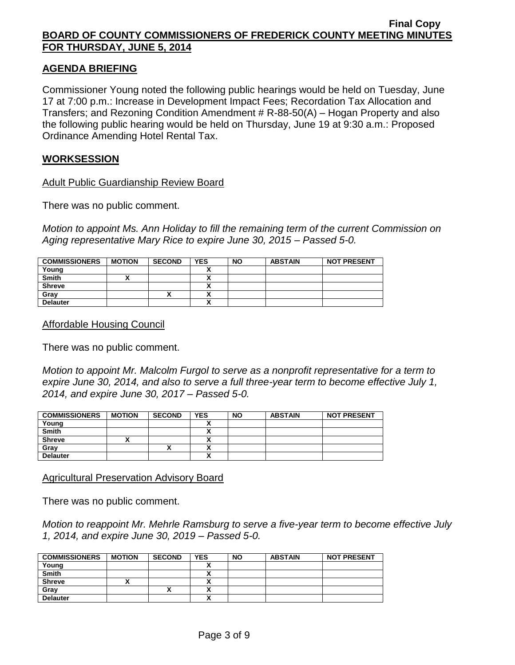#### **AGENDA BRIEFING**

Commissioner Young noted the following public hearings would be held on Tuesday, June 17 at 7:00 p.m.: Increase in Development Impact Fees; Recordation Tax Allocation and Transfers; and Rezoning Condition Amendment # R-88-50(A) – Hogan Property and also the following public hearing would be held on Thursday, June 19 at 9:30 a.m.: Proposed Ordinance Amending Hotel Rental Tax.

### **WORKSESSION**

#### Adult Public Guardianship Review Board

There was no public comment.

*Motion to appoint Ms. Ann Holiday to fill the remaining term of the current Commission on Aging representative Mary Rice to expire June 30, 2015 – Passed 5-0.*

| <b>COMMISSIONERS</b> | <b>MOTION</b> | <b>SECOND</b> | <b>YES</b>               | <b>NO</b> | <b>ABSTAIN</b> | <b>NOT PRESENT</b> |
|----------------------|---------------|---------------|--------------------------|-----------|----------------|--------------------|
| Young                |               |               | $\overline{\phantom{a}}$ |           |                |                    |
| <b>Smith</b>         |               |               |                          |           |                |                    |
| <b>Shreve</b>        |               |               |                          |           |                |                    |
| Gray                 |               | Λ             |                          |           |                |                    |
| <b>Delauter</b>      |               |               |                          |           |                |                    |

Affordable Housing Council

There was no public comment.

*Motion to appoint Mr. Malcolm Furgol to serve as a nonprofit representative for a term to expire June 30, 2014, and also to serve a full three-year term to become effective July 1, 2014, and expire June 30, 2017 – Passed 5-0.*

| <b>COMMISSIONERS</b> | <b>MOTION</b> | <b>SECOND</b> | <b>YES</b> | <b>NO</b> | <b>ABSTAIN</b> | <b>NOT PRESENT</b> |
|----------------------|---------------|---------------|------------|-----------|----------------|--------------------|
| Young                |               |               |            |           |                |                    |
| <b>Smith</b>         |               |               | ٠.<br>~    |           |                |                    |
| <b>Shreve</b>        |               |               | Λ          |           |                |                    |
| Gray                 |               |               | v          |           |                |                    |
| <b>Delauter</b>      |               |               | v<br>^     |           |                |                    |

#### Agricultural Preservation Advisory Board

There was no public comment.

*Motion to reappoint Mr. Mehrle Ramsburg to serve a five-year term to become effective July 1, 2014, and expire June 30, 2019 – Passed 5-0.*

| <b>COMMISSIONERS</b> | <b>MOTION</b> | <b>SECOND</b> | <b>YES</b> | <b>NO</b> | <b>ABSTAIN</b> | <b>NOT PRESENT</b> |
|----------------------|---------------|---------------|------------|-----------|----------------|--------------------|
| Young                |               |               |            |           |                |                    |
| <b>Smith</b>         |               |               | ~          |           |                |                    |
| <b>Shreve</b>        |               |               |            |           |                |                    |
| Gray                 |               |               |            |           |                |                    |
| <b>Delauter</b>      |               |               | v          |           |                |                    |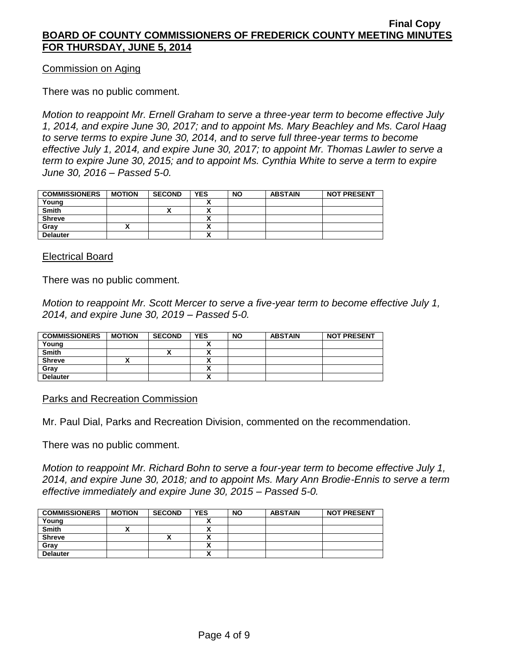Commission on Aging

There was no public comment.

*Motion to reappoint Mr. Ernell Graham to serve a three-year term to become effective July 1, 2014, and expire June 30, 2017; and to appoint Ms. Mary Beachley and Ms. Carol Haag to serve terms to expire June 30, 2014, and to serve full three-year terms to become effective July 1, 2014, and expire June 30, 2017; to appoint Mr. Thomas Lawler to serve a term to expire June 30, 2015; and to appoint Ms. Cynthia White to serve a term to expire June 30, 2016 – Passed 5-0.*

| <b>COMMISSIONERS</b> | <b>MOTION</b> | <b>SECOND</b> | <b>YES</b> | <b>NO</b> | <b>ABSTAIN</b> | <b>NOT PRESENT</b> |
|----------------------|---------------|---------------|------------|-----------|----------------|--------------------|
| Young                |               |               |            |           |                |                    |
| <b>Smith</b>         |               |               | ٠.         |           |                |                    |
| <b>Shreve</b>        |               |               |            |           |                |                    |
| Grav                 |               |               |            |           |                |                    |
| <b>Delauter</b>      |               |               |            |           |                |                    |

Electrical Board

There was no public comment.

*Motion to reappoint Mr. Scott Mercer to serve a five-year term to become effective July 1, 2014, and expire June 30, 2019 – Passed 5-0.*

| <b>COMMISSIONERS</b> | <b>MOTION</b> | <b>SECOND</b> | <b>YES</b> | <b>NO</b> | <b>ABSTAIN</b> | <b>NOT PRESENT</b> |
|----------------------|---------------|---------------|------------|-----------|----------------|--------------------|
| Young                |               |               |            |           |                |                    |
| <b>Smith</b>         |               |               |            |           |                |                    |
| <b>Shreve</b>        |               |               |            |           |                |                    |
| Gray                 |               |               | Λ          |           |                |                    |
| <b>Delauter</b>      |               |               |            |           |                |                    |

Parks and Recreation Commission

Mr. Paul Dial, Parks and Recreation Division, commented on the recommendation.

There was no public comment.

*Motion to reappoint Mr. Richard Bohn to serve a four-year term to become effective July 1, 2014, and expire June 30, 2018; and to appoint Ms. Mary Ann Brodie-Ennis to serve a term effective immediately and expire June 30, 2015 – Passed 5-0.*

| <b>COMMISSIONERS</b> | <b>MOTION</b> | <b>SECOND</b> | <b>YES</b> | <b>NO</b> | <b>ABSTAIN</b> | <b>NOT PRESENT</b> |
|----------------------|---------------|---------------|------------|-----------|----------------|--------------------|
| Young                |               |               |            |           |                |                    |
| <b>Smith</b>         |               |               |            |           |                |                    |
| <b>Shreve</b>        |               | Δ             |            |           |                |                    |
| Gray                 |               |               |            |           |                |                    |
| <b>Delauter</b>      |               |               |            |           |                |                    |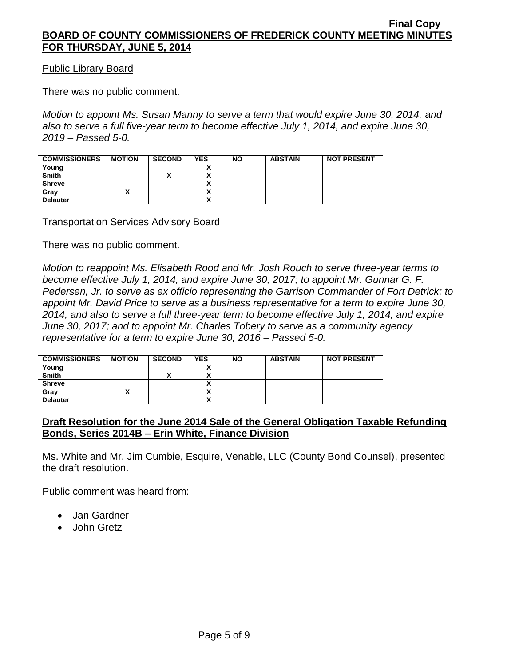Public Library Board

There was no public comment.

*Motion to appoint Ms. Susan Manny to serve a term that would expire June 30, 2014, and also to serve a full five-year term to become effective July 1, 2014, and expire June 30, 2019 – Passed 5-0.*

| <b>COMMISSIONERS</b> | <b>MOTION</b> | <b>SECOND</b> | <b>YES</b> | <b>NO</b> | <b>ABSTAIN</b> | <b>NOT PRESENT</b> |
|----------------------|---------------|---------------|------------|-----------|----------------|--------------------|
| Young                |               |               |            |           |                |                    |
| <b>Smith</b>         |               |               | v          |           |                |                    |
| <b>Shreve</b>        |               |               | ^          |           |                |                    |
| Grav                 |               |               | ٠.         |           |                |                    |
| <b>Delauter</b>      |               |               | v          |           |                |                    |

#### Transportation Services Advisory Board

There was no public comment.

*Motion to reappoint Ms. Elisabeth Rood and Mr. Josh Rouch to serve three-year terms to become effective July 1, 2014, and expire June 30, 2017; to appoint Mr. Gunnar G. F. Pedersen, Jr. to serve as ex officio representing the Garrison Commander of Fort Detrick; to appoint Mr. David Price to serve as a business representative for a term to expire June 30, 2014, and also to serve a full three-year term to become effective July 1, 2014, and expire June 30, 2017; and to appoint Mr. Charles Tobery to serve as a community agency representative for a term to expire June 30, 2016 – Passed 5-0.*

| <b>COMMISSIONERS</b> | <b>MOTION</b> | <b>SECOND</b> | <b>YES</b> | <b>NO</b> | <b>ABSTAIN</b> | <b>NOT PRESENT</b> |
|----------------------|---------------|---------------|------------|-----------|----------------|--------------------|
| Young                |               |               |            |           |                |                    |
| <b>Smith</b>         |               |               |            |           |                |                    |
| <b>Shreve</b>        |               |               |            |           |                |                    |
| Gray                 |               |               |            |           |                |                    |
| <b>Delauter</b>      |               |               |            |           |                |                    |

# **Draft Resolution for the June 2014 Sale of the General Obligation Taxable Refunding Bonds, Series 2014B – Erin White, Finance Division**

Ms. White and Mr. Jim Cumbie, Esquire, Venable, LLC (County Bond Counsel), presented the draft resolution.

Public comment was heard from:

- Jan Gardner
- John Gretz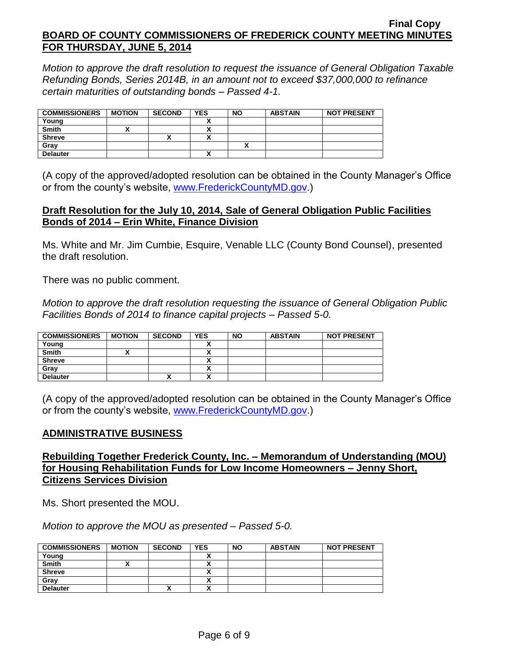*Motion to approve the draft resolution to request the issuance of General Obligation Taxable Refunding Bonds, Series 2014B, in an amount not to exceed \$37,000,000 to refinance certain maturities of outstanding bonds – Passed 4-1.*

| <b>COMMISSIONERS</b> | <b>MOTION</b> | <b>SECOND</b> | <b>YES</b> | <b>NO</b> | <b>ABSTAIN</b> | <b>NOT PRESENT</b> |
|----------------------|---------------|---------------|------------|-----------|----------------|--------------------|
| Young                |               |               |            |           |                |                    |
| <b>Smith</b>         |               |               |            |           |                |                    |
| <b>Shreve</b>        |               |               | v          |           |                |                    |
| Gray                 |               |               |            |           |                |                    |
| <b>Delauter</b>      |               |               | v          |           |                |                    |

(A copy of the approved/adopted resolution can be obtained in the County Manager's Office or from the county's website, [www.FrederickCountyMD.gov.](http://www.frederickcountymd.gov/))

### **Draft Resolution for the July 10, 2014, Sale of General Obligation Public Facilities Bonds of 2014 – Erin White, Finance Division**

Ms. White and Mr. Jim Cumbie, Esquire, Venable LLC (County Bond Counsel), presented the draft resolution.

There was no public comment.

*Motion to approve the draft resolution requesting the issuance of General Obligation Public Facilities Bonds of 2014 to finance capital projects – Passed 5-0.*

| <b>COMMISSIONERS</b> | <b>MOTION</b> | <b>SECOND</b> | <b>YES</b> | <b>NO</b> | <b>ABSTAIN</b> | <b>NOT PRESENT</b> |
|----------------------|---------------|---------------|------------|-----------|----------------|--------------------|
| Young                |               |               |            |           |                |                    |
| <b>Smith</b>         |               |               | ~          |           |                |                    |
| <b>Shreve</b>        |               |               | n          |           |                |                    |
| Gray                 |               |               |            |           |                |                    |
| <b>Delauter</b>      |               | ́             | ^          |           |                |                    |

(A copy of the approved/adopted resolution can be obtained in the County Manager's Office or from the county's website, [www.FrederickCountyMD.gov.](http://www.frederickcountymd.gov/))

# **ADMINISTRATIVE BUSINESS**

# **Rebuilding Together Frederick County, Inc. – Memorandum of Understanding (MOU) for Housing Rehabilitation Funds for Low Income Homeowners – Jenny Short, Citizens Services Division**

Ms. Short presented the MOU.

*Motion to approve the MOU as presented – Passed 5-0.*

| <b>COMMISSIONERS</b> | <b>MOTION</b> | <b>SECOND</b> | <b>YES</b> | <b>NO</b> | <b>ABSTAIN</b> | <b>NOT PRESENT</b> |
|----------------------|---------------|---------------|------------|-----------|----------------|--------------------|
| Young                |               |               |            |           |                |                    |
| <b>Smith</b>         |               |               |            |           |                |                    |
| <b>Shreve</b>        |               |               |            |           |                |                    |
| Grav                 |               |               |            |           |                |                    |
| <b>Delauter</b>      |               | <br>Λ         |            |           |                |                    |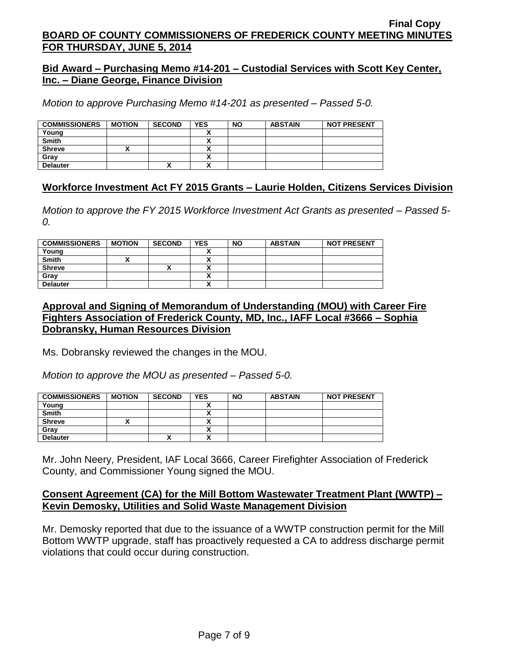### **Bid Award – Purchasing Memo #14-201 – Custodial Services with Scott Key Center, Inc. – Diane George, Finance Division**

*Motion to approve Purchasing Memo #14-201 as presented – Passed 5-0.*

| <b>COMMISSIONERS</b> | <b>MOTION</b> | <b>SECOND</b> | <b>YES</b> | <b>NO</b> | <b>ABSTAIN</b> | <b>NOT PRESENT</b> |
|----------------------|---------------|---------------|------------|-----------|----------------|--------------------|
| Young                |               |               |            |           |                |                    |
| <b>Smith</b>         |               |               |            |           |                |                    |
| <b>Shreve</b>        |               |               |            |           |                |                    |
| Grav                 |               |               |            |           |                |                    |
| <b>Delauter</b>      |               | Λ             |            |           |                |                    |

# **Workforce Investment Act FY 2015 Grants – Laurie Holden, Citizens Services Division**

*Motion to approve the FY 2015 Workforce Investment Act Grants as presented – Passed 5- 0.*

| <b>COMMISSIONERS</b> | <b>MOTION</b> | <b>SECOND</b> | <b>YES</b>               | <b>NO</b> | <b>ABSTAIN</b> | <b>NOT PRESENT</b> |
|----------------------|---------------|---------------|--------------------------|-----------|----------------|--------------------|
| Young                |               |               |                          |           |                |                    |
| <b>Smith</b>         |               |               |                          |           |                |                    |
| <b>Shreve</b>        |               |               |                          |           |                |                    |
| Gray                 |               |               |                          |           |                |                    |
| <b>Delauter</b>      |               |               | $\overline{\phantom{a}}$ |           |                |                    |

# **Approval and Signing of Memorandum of Understanding (MOU) with Career Fire Fighters Association of Frederick County, MD, Inc., IAFF Local #3666 – Sophia Dobransky, Human Resources Division**

Ms. Dobransky reviewed the changes in the MOU.

*Motion to approve the MOU as presented – Passed 5-0.*

| <b>COMMISSIONERS</b> | <b>MOTION</b> | <b>SECOND</b> | <b>YES</b> | <b>NO</b> | <b>ABSTAIN</b> | <b>NOT PRESENT</b> |
|----------------------|---------------|---------------|------------|-----------|----------------|--------------------|
| Young                |               |               |            |           |                |                    |
| <b>Smith</b>         |               |               |            |           |                |                    |
| <b>Shreve</b>        |               |               |            |           |                |                    |
| Gray                 |               |               |            |           |                |                    |
| <b>Delauter</b>      |               | ^             |            |           |                |                    |

Mr. John Neery, President, IAF Local 3666, Career Firefighter Association of Frederick County, and Commissioner Young signed the MOU.

### **Consent Agreement (CA) for the Mill Bottom Wastewater Treatment Plant (WWTP) – Kevin Demosky, Utilities and Solid Waste Management Division**

Mr. Demosky reported that due to the issuance of a WWTP construction permit for the Mill Bottom WWTP upgrade, staff has proactively requested a CA to address discharge permit violations that could occur during construction.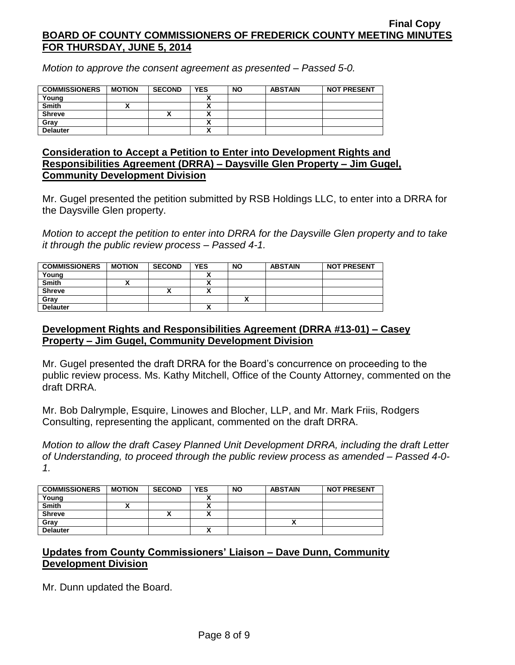*Motion to approve the consent agreement as presented – Passed 5-0.*

| <b>COMMISSIONERS</b> | <b>MOTION</b> | <b>SECOND</b> | <b>YES</b> | <b>NO</b> | <b>ABSTAIN</b> | <b>NOT PRESENT</b> |
|----------------------|---------------|---------------|------------|-----------|----------------|--------------------|
| Young                |               |               |            |           |                |                    |
| <b>Smith</b>         |               |               | ↗          |           |                |                    |
| <b>Shreve</b>        |               | "             |            |           |                |                    |
| Gray                 |               |               |            |           |                |                    |
| <b>Delauter</b>      |               |               | ~          |           |                |                    |

### **Consideration to Accept a Petition to Enter into Development Rights and Responsibilities Agreement (DRRA) – Daysville Glen Property – Jim Gugel, Community Development Division**

Mr. Gugel presented the petition submitted by RSB Holdings LLC, to enter into a DRRA for the Daysville Glen property.

*Motion to accept the petition to enter into DRRA for the Daysville Glen property and to take it through the public review process – Passed 4-1.*

| <b>COMMISSIONERS</b> | <b>MOTION</b> | <b>SECOND</b> | <b>YES</b>               | <b>NO</b> | <b>ABSTAIN</b> | <b>NOT PRESENT</b> |
|----------------------|---------------|---------------|--------------------------|-----------|----------------|--------------------|
| Young                |               |               |                          |           |                |                    |
| <b>Smith</b>         |               |               |                          |           |                |                    |
| <b>Shreve</b>        |               | Λ             |                          |           |                |                    |
| Gray                 |               |               |                          |           |                |                    |
| <b>Delauter</b>      |               |               | $\overline{\phantom{a}}$ |           |                |                    |

# **Development Rights and Responsibilities Agreement (DRRA #13-01) – Casey Property – Jim Gugel, Community Development Division**

Mr. Gugel presented the draft DRRA for the Board's concurrence on proceeding to the public review process. Ms. Kathy Mitchell, Office of the County Attorney, commented on the draft DRRA.

Mr. Bob Dalrymple, Esquire, Linowes and Blocher, LLP, and Mr. Mark Friis, Rodgers Consulting, representing the applicant, commented on the draft DRRA.

*Motion to allow the draft Casey Planned Unit Development DRRA, including the draft Letter of Understanding, to proceed through the public review process as amended – Passed 4-0- 1.*

| <b>COMMISSIONERS</b> | <b>MOTION</b> | <b>SECOND</b> | <b>YES</b> | <b>NO</b> | <b>ABSTAIN</b> | <b>NOT PRESENT</b> |
|----------------------|---------------|---------------|------------|-----------|----------------|--------------------|
| Young                |               |               |            |           |                |                    |
| <b>Smith</b>         |               |               |            |           |                |                    |
| <b>Shreve</b>        |               |               |            |           |                |                    |
| Grav                 |               |               |            |           |                |                    |
| <b>Delauter</b>      |               |               |            |           |                |                    |

# **Updates from County Commissioners' Liaison – Dave Dunn, Community Development Division**

Mr. Dunn updated the Board.